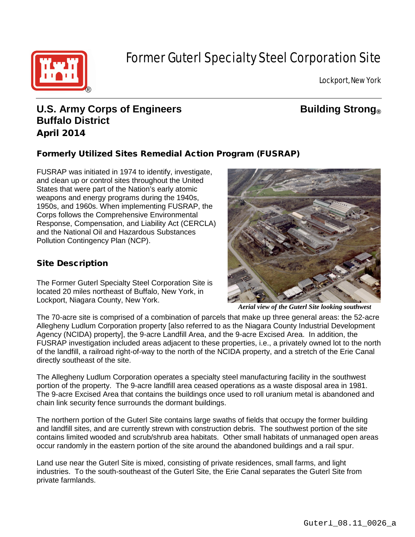

# Former Guterl Specialty Steel Corporation Site

Lockport, New York

# **U.S. Army Corps of Engineers Building Strong**<sup>®</sup> **Buffalo District** April 2014

## Formerly Utilized Sites Remedial Action Program (FUSRAP)

FUSRAP was initiated in 1974 to identify, investigate, and clean up or control sites throughout the United States that were part of the Nation's early atomic weapons and energy programs during the 1940s, 1950s, and 1960s. When implementing FUSRAP, the Corps follows the Comprehensive Environmental Response, Compensation, and Liability Act (CERCLA) and the National Oil and Hazardous Substances Pollution Contingency Plan (NCP).

### Site Description

The Former Guterl Specialty Steel Corporation Site is located 20 miles northeast of Buffalo, New York, in Lockport, Niagara County, New York.



*Aerial view of the Guterl Site looking southwest*

The 70-acre site is comprised of a combination of parcels that make up three general areas: the 52-acre Allegheny Ludlum Corporation property [also referred to as the Niagara County Industrial Development Agency (NCIDA) property], the 9-acre Landfill Area, and the 9-acre Excised Area. In addition, the FUSRAP investigation included areas adjacent to these properties, i.e., a privately owned lot to the north of the landfill, a railroad right-of-way to the north of the NCIDA property, and a stretch of the Erie Canal directly southeast of the site.

The Allegheny Ludlum Corporation operates a specialty steel manufacturing facility in the southwest portion of the property. The 9-acre landfill area ceased operations as a waste disposal area in 1981. The 9-acre Excised Area that contains the buildings once used to roll uranium metal is abandoned and chain link security fence surrounds the dormant buildings.

The northern portion of the Guterl Site contains large swaths of fields that occupy the former building and landfill sites, and are currently strewn with construction debris. The southwest portion of the site contains limited wooded and scrub/shrub area habitats. Other small habitats of unmanaged open areas occur randomly in the eastern portion of the site around the abandoned buildings and a rail spur.

Land use near the Guterl Site is mixed, consisting of private residences, small farms, and light industries. To the south-southeast of the Guterl Site, the Erie Canal separates the Guterl Site from private farmlands.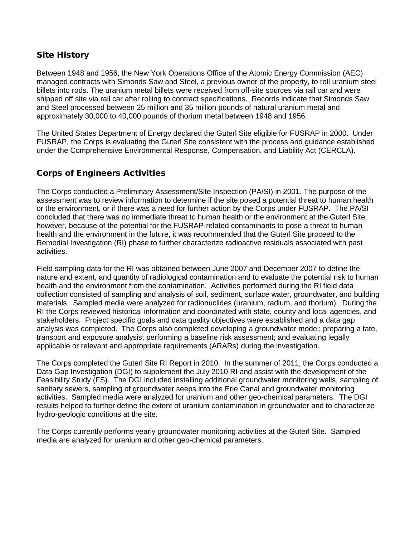#### Site History

Between 1948 and 1956, the New York Operations Office of the Atomic Energy Commission (AEC) managed contracts with Simonds Saw and Steel, a previous owner of the property, to roll uranium steel billets into rods. The uranium metal billets were received from off-site sources via rail car and were shipped off site via rail car after rolling to contract specifications. Records indicate that Simonds Saw and Steel processed between 25 million and 35 million pounds of natural uranium metal and approximately 30,000 to 40,000 pounds of thorium metal between 1948 and 1956.

The United States Department of Energy declared the Guterl Site eligible for FUSRAP in 2000. Under FUSRAP, the Corps is evaluating the Guterl Site consistent with the process and guidance established under the Comprehensive Environmental Response, Compensation, and Liability Act (CERCLA).

#### Corps of Engineers Activities

The Corps conducted a Preliminary Assessment/Site Inspection (PA/SI) in 2001. The purpose of the assessment was to review information to determine if the site posed a potential threat to human health or the environment, or if there was a need for further action by the Corps under FUSRAP. The PA/SI concluded that there was no immediate threat to human health or the environment at the Guterl Site; however, because of the potential for the FUSRAP-related contaminants to pose a threat to human health and the environment in the future, it was recommended that the Guterl Site proceed to the Remedial Investigation (RI) phase to further characterize radioactive residuals associated with past activities.

Field sampling data for the RI was obtained between June 2007 and December 2007 to define the nature and extent, and quantity of radiological contamination and to evaluate the potential risk to human health and the environment from the contamination. Activities performed during the RI field data collection consisted of sampling and analysis of soil, sediment, surface water, groundwater, and building materials. Sampled media were analyzed for radionuclides (uranium, radium, and thorium). During the RI the Corps reviewed historical information and coordinated with state, county and local agencies, and stakeholders. Project specific goals and data quality objectives were established and a data gap analysis was completed. The Corps also completed developing a groundwater model; preparing a fate, transport and exposure analysis; performing a baseline risk assessment; and evaluating legally applicable or relevant and appropriate requirements (ARARs) during the investigation.

The Corps completed the Guterl Site RI Report in 2010. In the summer of 2011, the Corps conducted a Data Gap Investigation (DGI) to supplement the July 2010 RI and assist with the development of the Feasibility Study (FS). The DGI included installing additional groundwater monitoring wells, sampling of sanitary sewers, sampling of groundwater seeps into the Erie Canal and groundwater monitoring activities. Sampled media were analyzed for uranium and other geo-chemical parameters. The DGI results helped to further define the extent of uranium contamination in groundwater and to characterize hydro-geologic conditions at the site.

The Corps currently performs yearly groundwater monitoring activities at the Guterl Site. Sampled media are analyzed for uranium and other geo-chemical parameters.